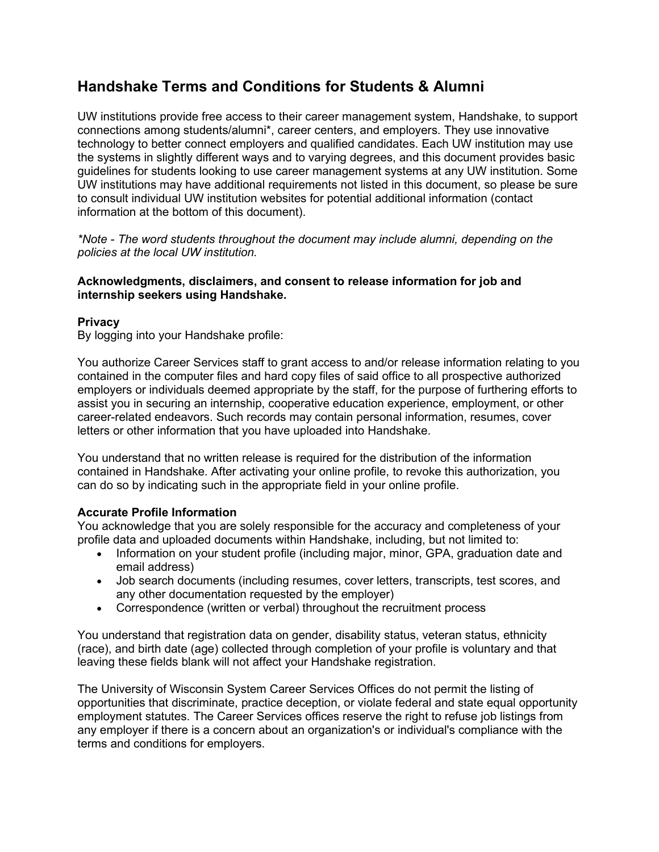# **Handshake Terms and Conditions for Students & Alumni**

UW institutions provide free access to their career management system, Handshake, to support connections among students/alumni\*, career centers, and employers. They use innovative technology to better connect employers and qualified candidates. Each UW institution may use the systems in slightly different ways and to varying degrees, and this document provides basic guidelines for students looking to use career management systems at any UW institution. Some UW institutions may have additional requirements not listed in this document, so please be sure to consult individual UW institution websites for potential additional information (contact information at the bottom of this document).

*\*Note - The word students throughout the document may include alumni, depending on the policies at the local UW institution.*

#### **Acknowledgments, disclaimers, and consent to release information for job and internship seekers using Handshake.**

## **Privacy**

By logging into your Handshake profile:

You authorize Career Services staff to grant access to and/or release information relating to you contained in the computer files and hard copy files of said office to all prospective authorized employers or individuals deemed appropriate by the staff, for the purpose of furthering efforts to assist you in securing an internship, cooperative education experience, employment, or other career-related endeavors. Such records may contain personal information, resumes, cover letters or other information that you have uploaded into Handshake.

You understand that no written release is required for the distribution of the information contained in Handshake. After activating your online profile, to revoke this authorization, you can do so by indicating such in the appropriate field in your online profile.

#### **Accurate Profile Information**

You acknowledge that you are solely responsible for the accuracy and completeness of your profile data and uploaded documents within Handshake, including, but not limited to:

- Information on your student profile (including major, minor, GPA, graduation date and email address)
- Job search documents (including resumes, cover letters, transcripts, test scores, and any other documentation requested by the employer)
- Correspondence (written or verbal) throughout the recruitment process

You understand that registration data on gender, disability status, veteran status, ethnicity (race), and birth date (age) collected through completion of your profile is voluntary and that leaving these fields blank will not affect your Handshake registration.

The University of Wisconsin System Career Services Offices do not permit the listing of opportunities that discriminate, practice deception, or violate federal and state equal opportunity employment statutes. The Career Services offices reserve the right to refuse job listings from any employer if there is a concern about an organization's or individual's compliance with the terms and conditions for employers.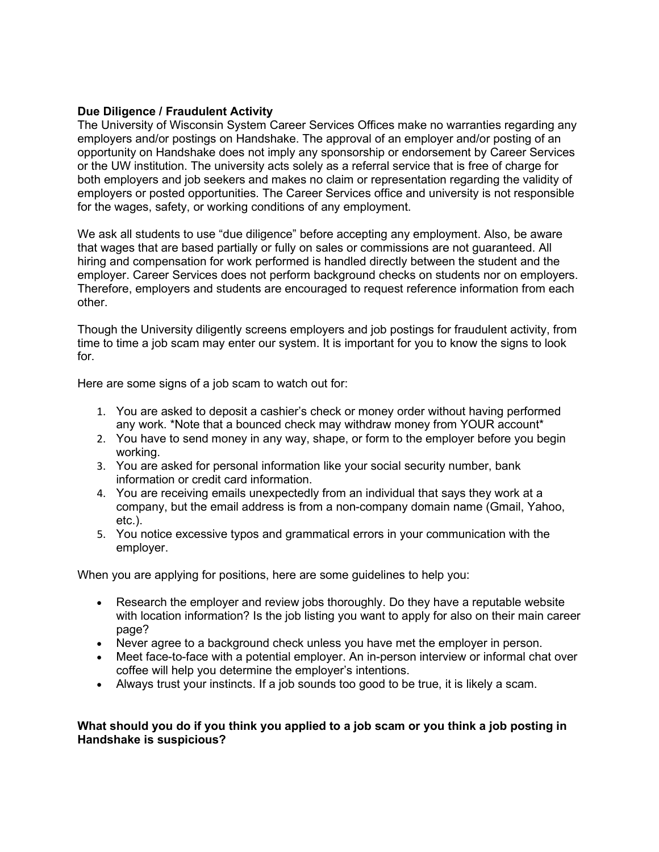## **Due Diligence / Fraudulent Activity**

The University of Wisconsin System Career Services Offices make no warranties regarding any employers and/or postings on Handshake. The approval of an employer and/or posting of an opportunity on Handshake does not imply any sponsorship or endorsement by Career Services or the UW institution. The university acts solely as a referral service that is free of charge for both employers and job seekers and makes no claim or representation regarding the validity of employers or posted opportunities. The Career Services office and university is not responsible for the wages, safety, or working conditions of any employment.

We ask all students to use "due diligence" before accepting any employment. Also, be aware that wages that are based partially or fully on sales or commissions are not guaranteed. All hiring and compensation for work performed is handled directly between the student and the employer. Career Services does not perform background checks on students nor on employers. Therefore, employers and students are encouraged to request reference information from each other.

Though the University diligently screens employers and job postings for fraudulent activity, from time to time a job scam may enter our system. It is important for you to know the signs to look for.

Here are some signs of a job scam to watch out for:

- 1. You are asked to deposit a cashier's check or money order without having performed any work. \*Note that a bounced check may withdraw money from YOUR account\*
- 2. You have to send money in any way, shape, or form to the employer before you begin working.
- 3. You are asked for personal information like your social security number, bank information or credit card information.
- 4. You are receiving emails unexpectedly from an individual that says they work at a company, but the email address is from a non-company domain name (Gmail, Yahoo, etc.).
- 5. You notice excessive typos and grammatical errors in your communication with the employer.

When you are applying for positions, here are some guidelines to help you:

- Research the employer and review jobs thoroughly. Do they have a reputable website with location information? Is the job listing you want to apply for also on their main career page?
- Never agree to a background check unless you have met the employer in person.
- Meet face-to-face with a potential employer. An in-person interview or informal chat over coffee will help you determine the employer's intentions.
- Always trust your instincts. If a job sounds too good to be true, it is likely a scam.

## **What should you do if you think you applied to a job scam or you think a job posting in Handshake is suspicious?**